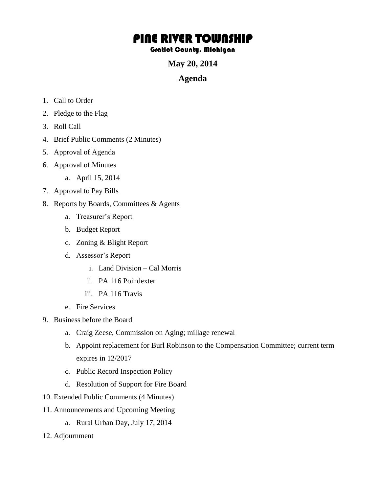## PINE RIVER TOWNSHIP

## Gratiot County, Michigan

**May 20, 2014** 

## **Agenda**

- 1. Call to Order
- 2. Pledge to the Flag
- 3. Roll Call
- 4. Brief Public Comments (2 Minutes)
- 5. Approval of Agenda
- 6. Approval of Minutes
	- a. April 15, 2014
- 7. Approval to Pay Bills
- 8. Reports by Boards, Committees & Agents
	- a. Treasurer's Report
	- b. Budget Report
	- c. Zoning & Blight Report
	- d. Assessor's Report
		- i. Land Division Cal Morris
		- ii. PA 116 Poindexter
		- iii. PA 116 Travis
	- e. Fire Services
- 9. Business before the Board
	- a. Craig Zeese, Commission on Aging; millage renewal
	- b. Appoint replacement for Burl Robinson to the Compensation Committee; current term expires in 12/2017
	- c. Public Record Inspection Policy
	- d. Resolution of Support for Fire Board
- 10. Extended Public Comments (4 Minutes)
- 11. Announcements and Upcoming Meeting
	- a. Rural Urban Day, July 17, 2014
- 12. Adjournment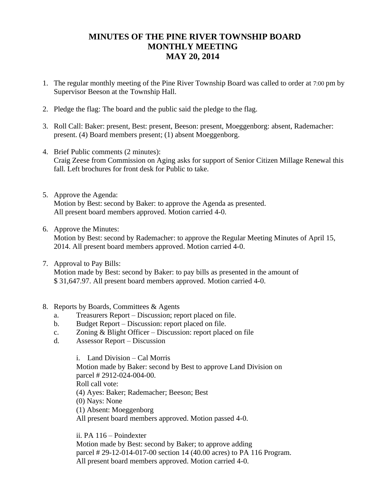## **MINUTES OF THE PINE RIVER TOWNSHIP BOARD MONTHLY MEETING MAY 20, 2014**

- 1. The regular monthly meeting of the Pine River Township Board was called to order at 7:00 pm by Supervisor Beeson at the Township Hall.
- 2. Pledge the flag: The board and the public said the pledge to the flag.
- 3. Roll Call: Baker: present, Best: present, Beeson: present, Moeggenborg: absent, Rademacher: present. (4) Board members present; (1) absent Moeggenborg.
- 4. Brief Public comments (2 minutes): Craig Zeese from Commission on Aging asks for support of Senior Citizen Millage Renewal this fall. Left brochures for front desk for Public to take.
- 5. Approve the Agenda: Motion by Best: second by Baker: to approve the Agenda as presented. All present board members approved. Motion carried 4-0.
- 6. Approve the Minutes: Motion by Best: second by Rademacher: to approve the Regular Meeting Minutes of April 15, 2014. All present board members approved. Motion carried 4-0.
- 7. Approval to Pay Bills: Motion made by Best: second by Baker: to pay bills as presented in the amount of \$ 31,647.97. All present board members approved. Motion carried 4-0.
- 8. Reports by Boards, Committees & Agents
	- a. Treasurers Report Discussion; report placed on file.
	- b. Budget Report Discussion: report placed on file.
	- c. Zoning & Blight Officer Discussion: report placed on file
	- d. Assessor Report Discussion

i. Land Division – Cal Morris Motion made by Baker: second by Best to approve Land Division on parcel # 2912-024-004-00. Roll call vote: (4) Ayes: Baker; Rademacher; Beeson; Best (0) Nays: None (1) Absent: Moeggenborg All present board members approved. Motion passed 4-0.

ii. PA 116 – Poindexter

Motion made by Best: second by Baker; to approve adding parcel # 29-12-014-017-00 section 14 (40.00 acres) to PA 116 Program. All present board members approved. Motion carried 4-0.